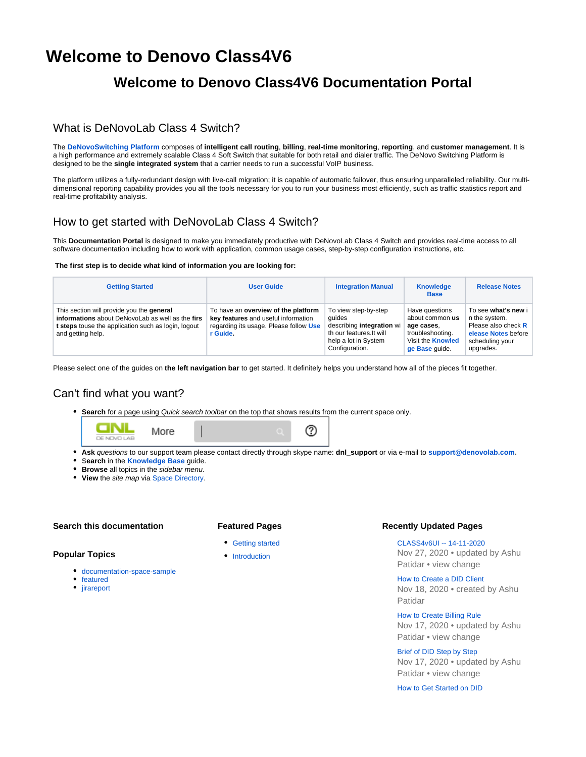# **Welcome to Denovo Class4V6**

## **Welcome to Denovo Class4V6 Documentation Portal**

### What is DeNovoLab Class 4 Switch?

The **[DeNovoSwitching Platform](http://www.denovolab.com/)** composes of **intelligent call routing**, **billing**, **real-time monitoring**, **reporting**, and **customer management**. It is a high performance and extremely scalable Class 4 Soft Switch that suitable for both retail and dialer traffic. The DeNovo Switching Platform is designed to be the **single integrated system** that a carrier needs to run a successful VoIP business.

The platform utilizes a fully-redundant design with live-call migration; it is capable of automatic failover, thus ensuring unparalleled reliability. Our multidimensional reporting capability provides you all the tools necessary for you to run your business most efficiently, such as traffic statistics report and real-time profitability analysis.

### How to get started with DeNovoLab Class 4 Switch?

This **Documentation Portal** is designed to make you immediately productive with DeNovoLab Class 4 Switch and provides real-time access to all software documentation including how to work with application, common usage cases, step-by-step configuration instructions, etc.

#### **The first step is to decide what kind of information you are looking for:**

| <b>Getting Started</b>                                                                                                                                                    | User Guide                                                                                                                       | <b>Integration Manual</b>                                                                                                         | <b>Knowledge</b><br><b>Base</b>                                                                                   | <b>Release Notes</b>                                                                                               |
|---------------------------------------------------------------------------------------------------------------------------------------------------------------------------|----------------------------------------------------------------------------------------------------------------------------------|-----------------------------------------------------------------------------------------------------------------------------------|-------------------------------------------------------------------------------------------------------------------|--------------------------------------------------------------------------------------------------------------------|
| This section will provide you the general<br>informations about DeNovoLab as well as the firs<br>t steps touse the application such as login, logout<br>and getting help. | To have an overview of the platform<br>key features and useful information<br>regarding its usage. Please follow Use<br>r Guide. | To view step-by-step<br>quides<br>describing integration wi<br>th our features. It will<br>help a lot in System<br>Configuration. | Have questions<br>about common us<br>age cases.<br>troubleshooting.<br>Visit the <b>Knowled</b><br>ge Base quide. | To see what's new i<br>n the system.<br>Please also check R<br>elease Notes before<br>scheduling your<br>upgrades. |

Please select one of the guides on **the left navigation bar** to get started. It definitely helps you understand how all of the pieces fit together.

### Can't find what you want?

**Search** for a page using Quick search toolbar on the top that shows results from the current space only.



- **Ask** questions to our support team please contact directly through skype name: **dnl\_support** or via e-mail to **[support@denovolab.com](mailto:support@denovolab.com).**
- **Search** in the **[Knowledge Base](http://doc.denovolab.com/display/CLAS4v6/Knowledge+Base)** guide.
- **Browse** all topics in the *sidebar menu*.
- **View** the site map via [Space Directory.](http://doc.denovolab.com/display/CLASv5d2/Welcome+to+Denovo+Class+4)

### **Search this documentation**

### **Featured Pages**

- [Getting started](https://doc.denovolab.com/display/CLAS4v6/Getting+started)
- [Introduction](https://doc.denovolab.com/display/CLAS4v6/Introduction)

#### **Recently Updated Pages**

[CLASS4v6UI -- 14-11-2020](https://doc.denovolab.com/display/CLAS4v6/CLASS4v6UI+--+14-11-2020) Nov 27, 2020 • updated by [Ashu](https://doc.denovolab.com/display/~ashu)  [Patidar](https://doc.denovolab.com/display/~ashu) • [view change](https://doc.denovolab.com/pages/diffpagesbyversion.action?pageId=40766464&selectedPageVersions=7&selectedPageVersions=6)

[How to Create a DID Client](https://doc.denovolab.com/display/CLAS4v6/How+to+Create+a+DID+Client) Nov 18, 2020 • created by [Ashu](https://doc.denovolab.com/display/~ashu)  [Patidar](https://doc.denovolab.com/display/~ashu)

[How to Create Billing Rule](https://doc.denovolab.com/display/CLAS4v6/How+to+Create+Billing+Rule) Nov 17, 2020 • updated by [Ashu](https://doc.denovolab.com/display/~ashu)  [Patidar](https://doc.denovolab.com/display/~ashu) • [view change](https://doc.denovolab.com/pages/diffpagesbyversion.action?pageId=40766497&selectedPageVersions=2&selectedPageVersions=1)

[Brief of DID Step by Step](https://doc.denovolab.com/display/CLAS4v6/Brief+of+DID+Step+by+Step) Nov 17, 2020 • updated by [Ashu](https://doc.denovolab.com/display/~ashu)  [Patidar](https://doc.denovolab.com/display/~ashu) • [view change](https://doc.denovolab.com/pages/diffpagesbyversion.action?pageId=40766482&selectedPageVersions=4&selectedPageVersions=3)

[How to Get Started on DID](https://doc.denovolab.com/display/CLAS4v6/How+to+Get+Started+on+DID)

#### **Popular Topics**

- [documentation-space-sample](https://doc.denovolab.com/label/CLAS4v6/documentation-space-sample)
- [featured](https://doc.denovolab.com/label/CLAS4v6/featured)
- [jirareport](https://doc.denovolab.com/label/CLAS4v6/jirareport)